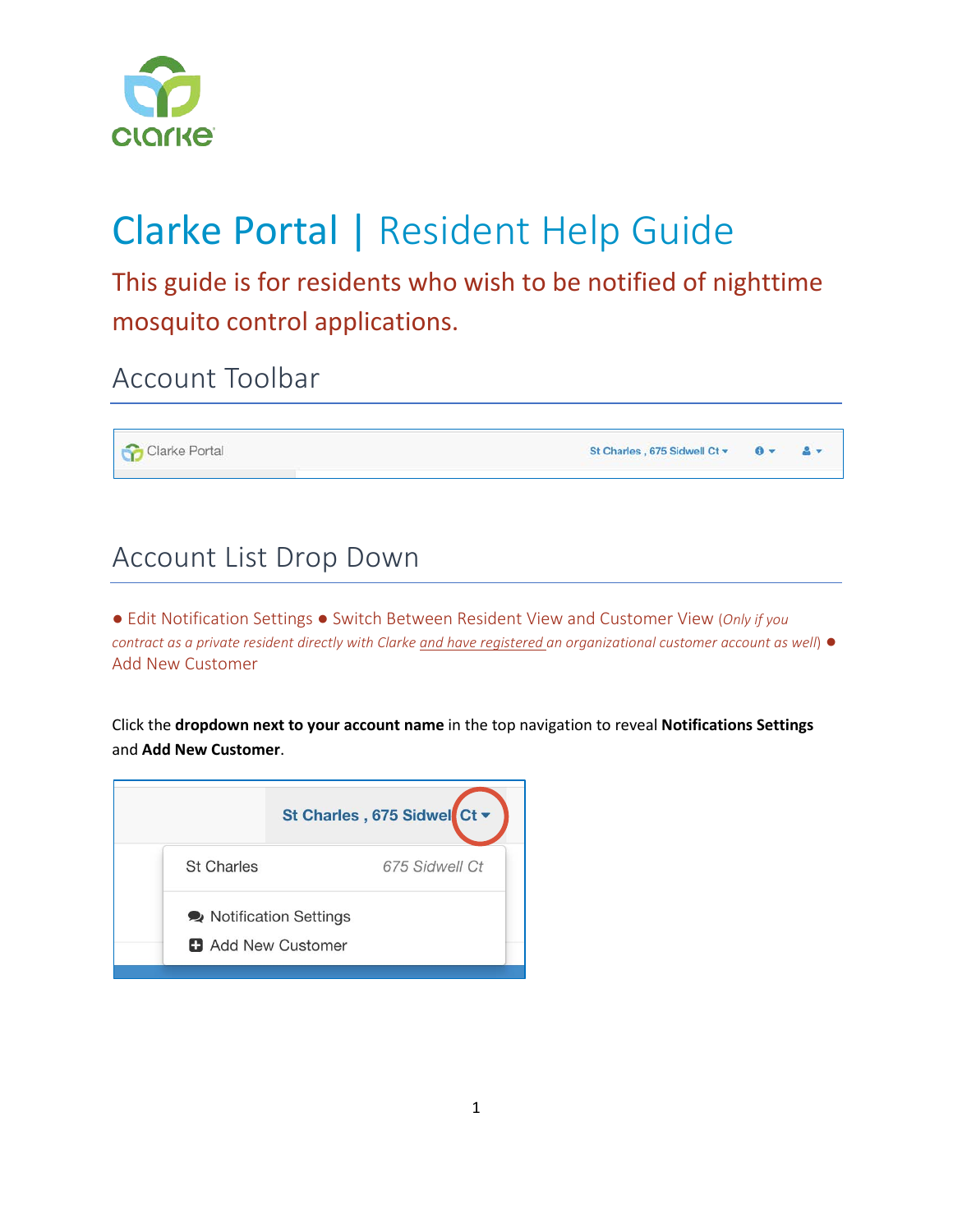

# Clarke Portal | Resident Help Guide

This guide is for residents who wish to be notified of nighttime mosquito control applications.

Account Toolbar

Clarke Portal

St Charles , 675 Sidwell Ct =  $\mathbf{0}$   $\mathbf{v}$ A-

### Account List Drop Down

● Edit Notification Settings ● Switch Between Resident View and Customer View (*Only if you contract as a private resident directly with Clarke and have registered an organizational customer account as well*) ● Add New Customer

Click the **dropdown next to your account name** in the top navigation to reveal **Notifications Settings** and **Add New Customer**.

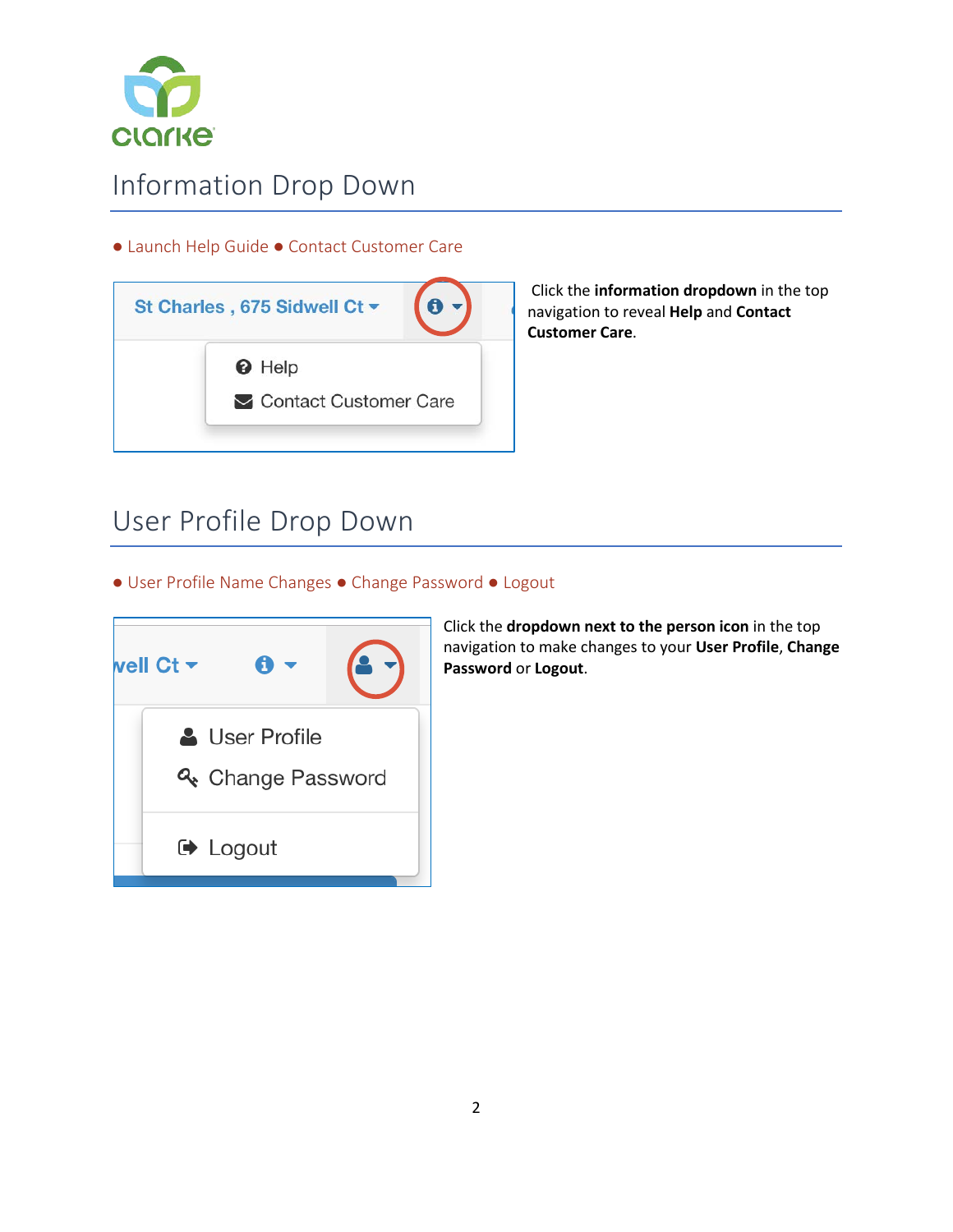

### Information Drop Down

#### ● Launch Help Guide ● Contact Customer Care

| St Charles, 675 Sidwell Ct ▼ |
|------------------------------|
| <b>O</b> Help                |
| Contact Customer Care        |

Click the **information dropdown** in the top navigation to reveal **Help** and **Contact Customer Care**.

### User Profile Drop Down

● User Profile Name Changes ● Change Password ● Logout



Click the **dropdown next to the person icon** in the top navigation to make changes to your **User Profile**, **Change Password** or **Logout**.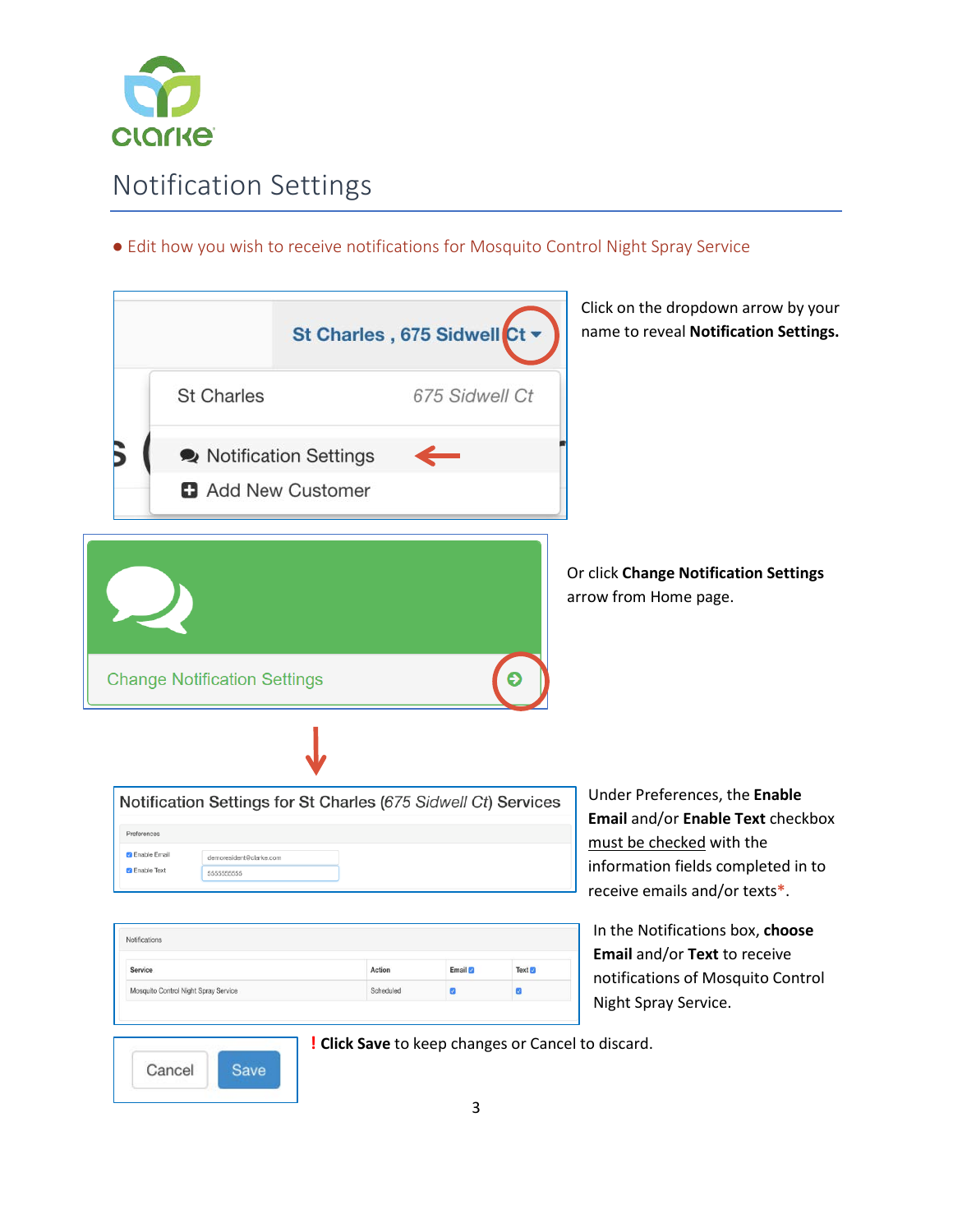

### Notification Settings

#### ● Edit how you wish to receive notifications for Mosquito Control Night Spray Service

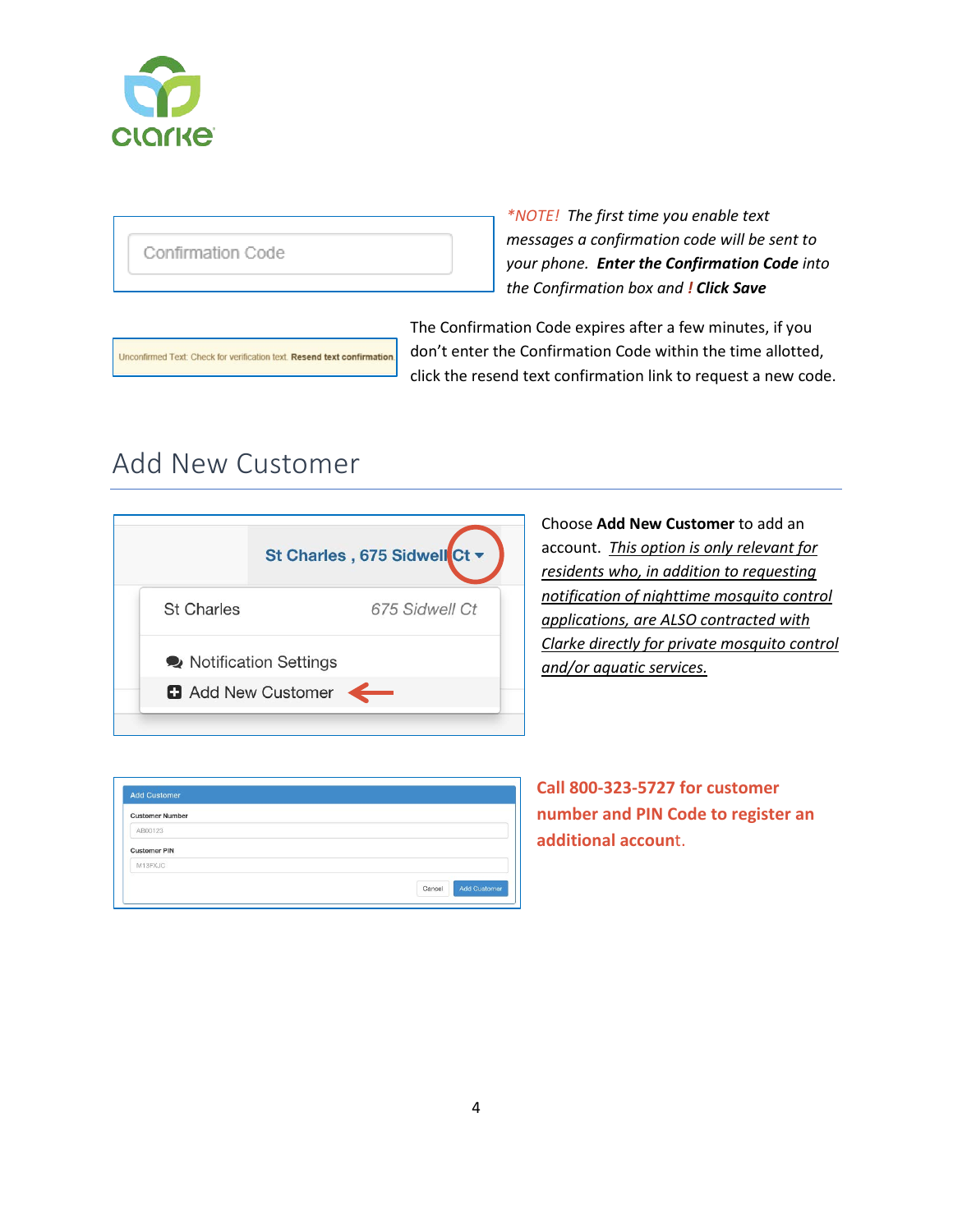

Confirmation Code

*\*NOTE! The first time you enable text messages a confirmation code will be sent to your phone. Enter the Confirmation Code into the Confirmation box and ! Click Save*

The Confirmation Code expires after a few minutes, if you don't enter the Confirmation Code within the time allotted, click the resend text confirmation link to request a new code.

### Add New Customer

Unconfirmed Text: Check for verification text. Resend text confirmation.



Choose **Add New Customer** to add an account. *This option is only relevant for residents who, in addition to requesting notification of nighttime mosquito control applications, are ALSO contracted with Clarke directly for private mosquito control and/or aquatic services.*

| <b>Customer Number</b> |  |
|------------------------|--|
| AB00123                |  |
| <b>Customer PIN</b>    |  |
| M13FXJC                |  |

**Call 800-323-5727 for customer number and PIN Code to register an additional accoun**t.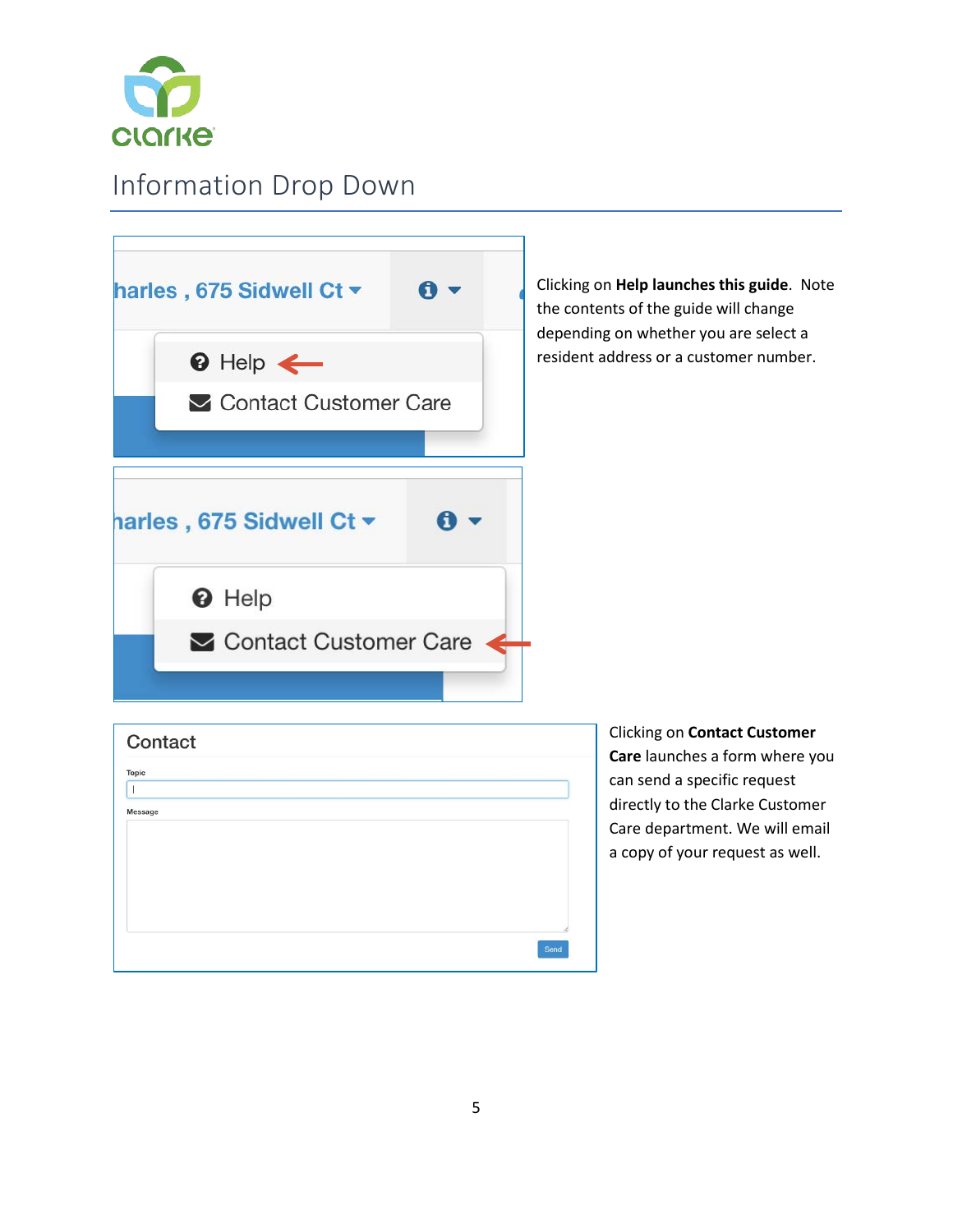

# Information Drop Down

| harles, 675 Sidwell Ct v            |  | Clicking on Help launches this guide. Note<br>the contents of the guide will change<br>depending on whether you are select a |
|-------------------------------------|--|------------------------------------------------------------------------------------------------------------------------------|
| $\odot$ Help $\leftarrow$           |  | resident address or a customer number.                                                                                       |
| Contact Customer Care               |  |                                                                                                                              |
|                                     |  |                                                                                                                              |
| harles, 675 Sidwell Ct <del>▼</del> |  |                                                                                                                              |
| <b>O</b> Help                       |  |                                                                                                                              |
| Contact Customer Care               |  |                                                                                                                              |
|                                     |  |                                                                                                                              |
| Contact                             |  | <b>Clicking on Contact Customer</b><br>Care launches a form where you                                                        |
| <b>Topic</b>                        |  | can send a specific request<br>directly to the Clarke Customer                                                               |
| Message                             |  | Care department. We will email                                                                                               |

Send

a copy of your request as well.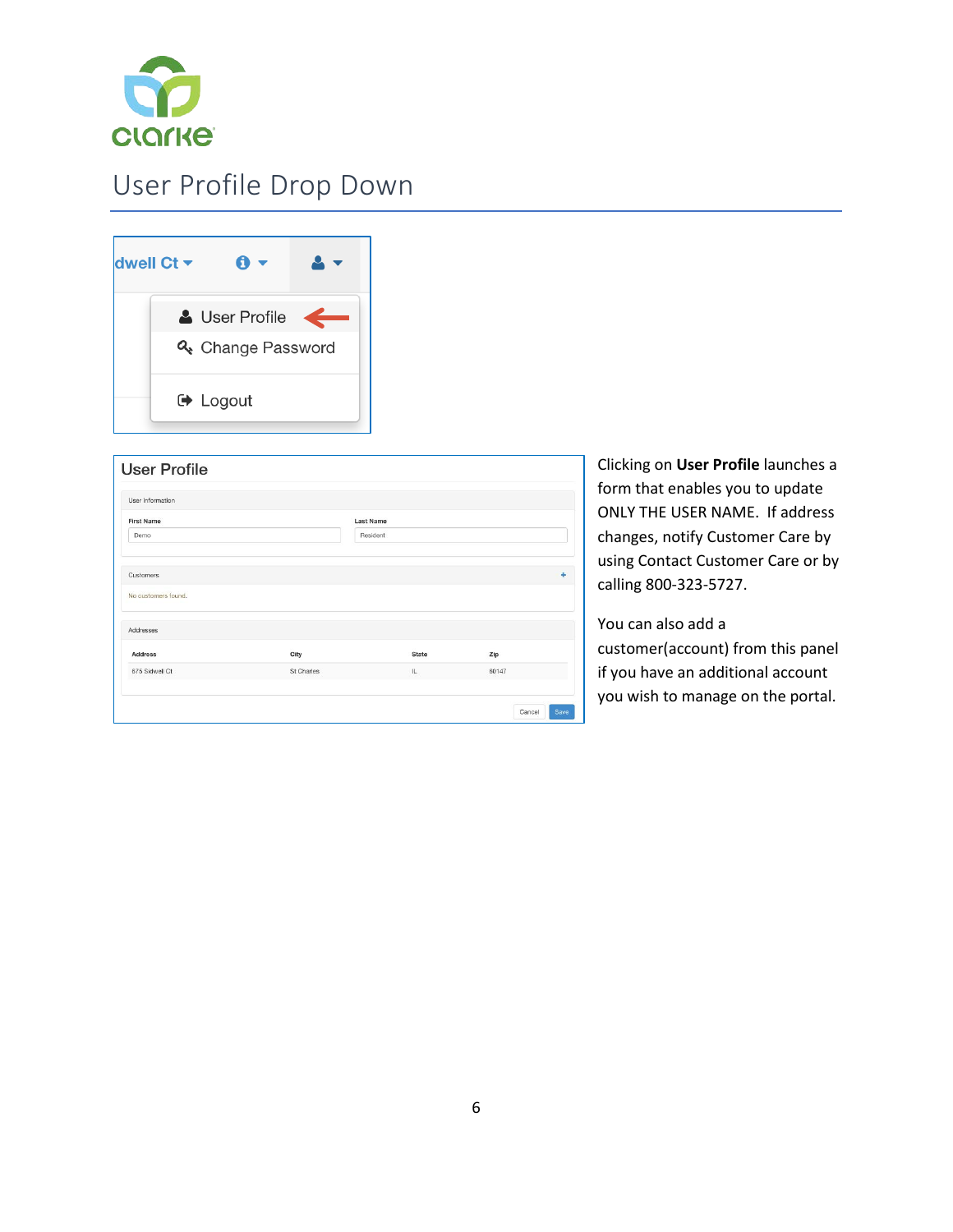

### User Profile Drop Down



| User Information    |            |           |       |   |  |
|---------------------|------------|-----------|-------|---|--|
| <b>First Name</b>   |            | Last Name |       |   |  |
| Demo                |            | Resident  |       |   |  |
| Customers           |            |           |       | ٠ |  |
| No customers found. |            |           |       |   |  |
| Addresses           |            |           |       |   |  |
| <b>Address</b>      | City       | State     | Zip   |   |  |
| 675 Sidwell Ct      | St Charles | IL.       | 60147 |   |  |

Clicking on **User Profile** launches a form that enables you to update ONLY THE USER NAME. If address changes, notify Customer Care by using Contact Customer Care or by calling 800-323-5727.

You can also add a customer(account) from this panel if you have an additional account you wish to manage on the portal.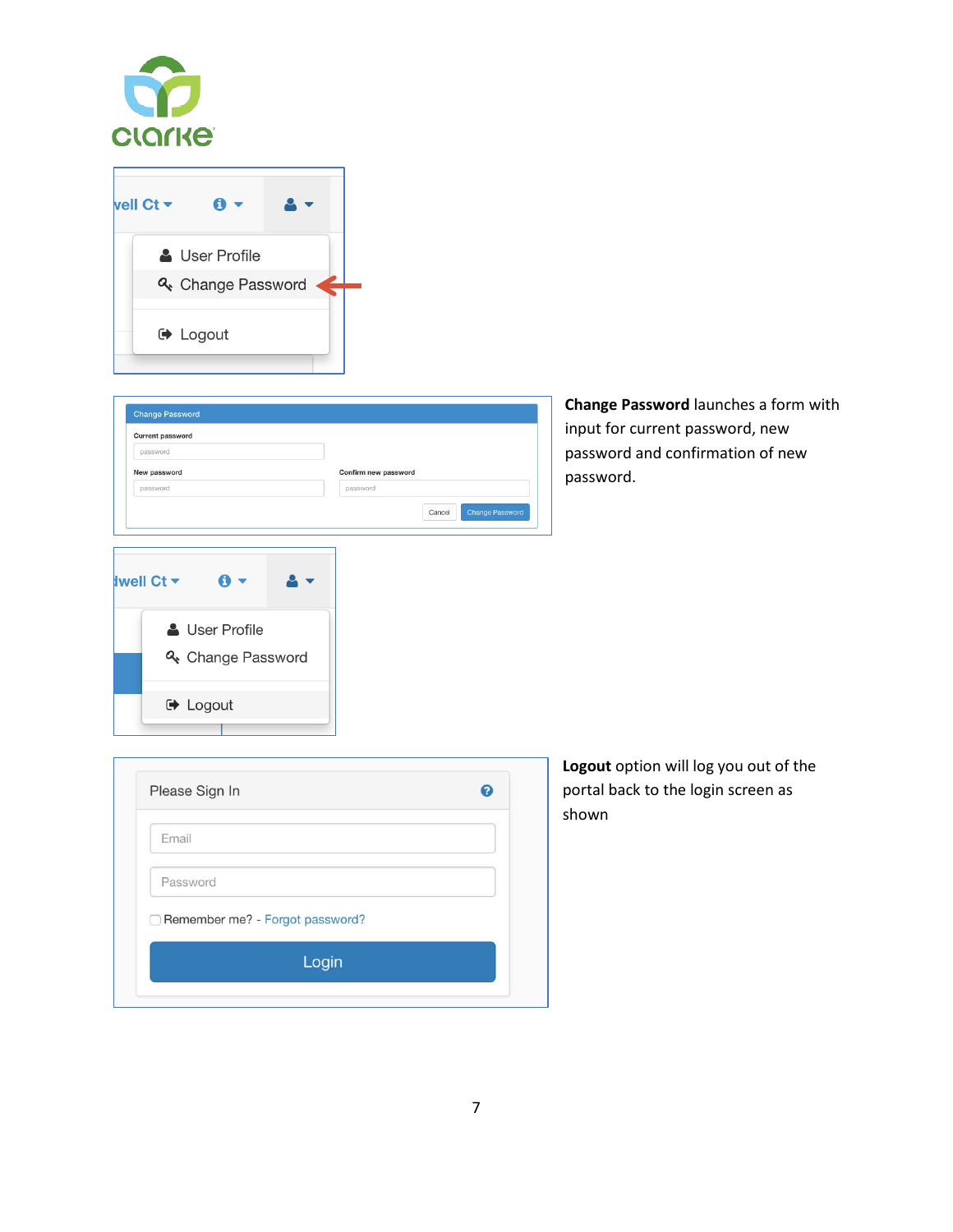



| <b>Current password</b>  |                       |  |                                  |  |  |
|--------------------------|-----------------------|--|----------------------------------|--|--|
| password                 |                       |  |                                  |  |  |
| New password<br>password |                       |  | Confirm new password<br>password |  |  |
|                          |                       |  |                                  |  |  |
|                          |                       |  |                                  |  |  |
|                          |                       |  |                                  |  |  |
|                          |                       |  |                                  |  |  |
|                          |                       |  |                                  |  |  |
|                          | A -                   |  |                                  |  |  |
|                          |                       |  |                                  |  |  |
|                          |                       |  |                                  |  |  |
| <b>Iwell Ct -</b>        | <b>A</b> User Profile |  |                                  |  |  |
|                          | & Change Password     |  |                                  |  |  |

**Change Password** launches a form with input for current password, new password and confirmation of new password.

| Email                           |  |
|---------------------------------|--|
| Password                        |  |
| Remember me? - Forgot password? |  |
|                                 |  |

**Logout** option will log you out of the portal back to the login screen as shown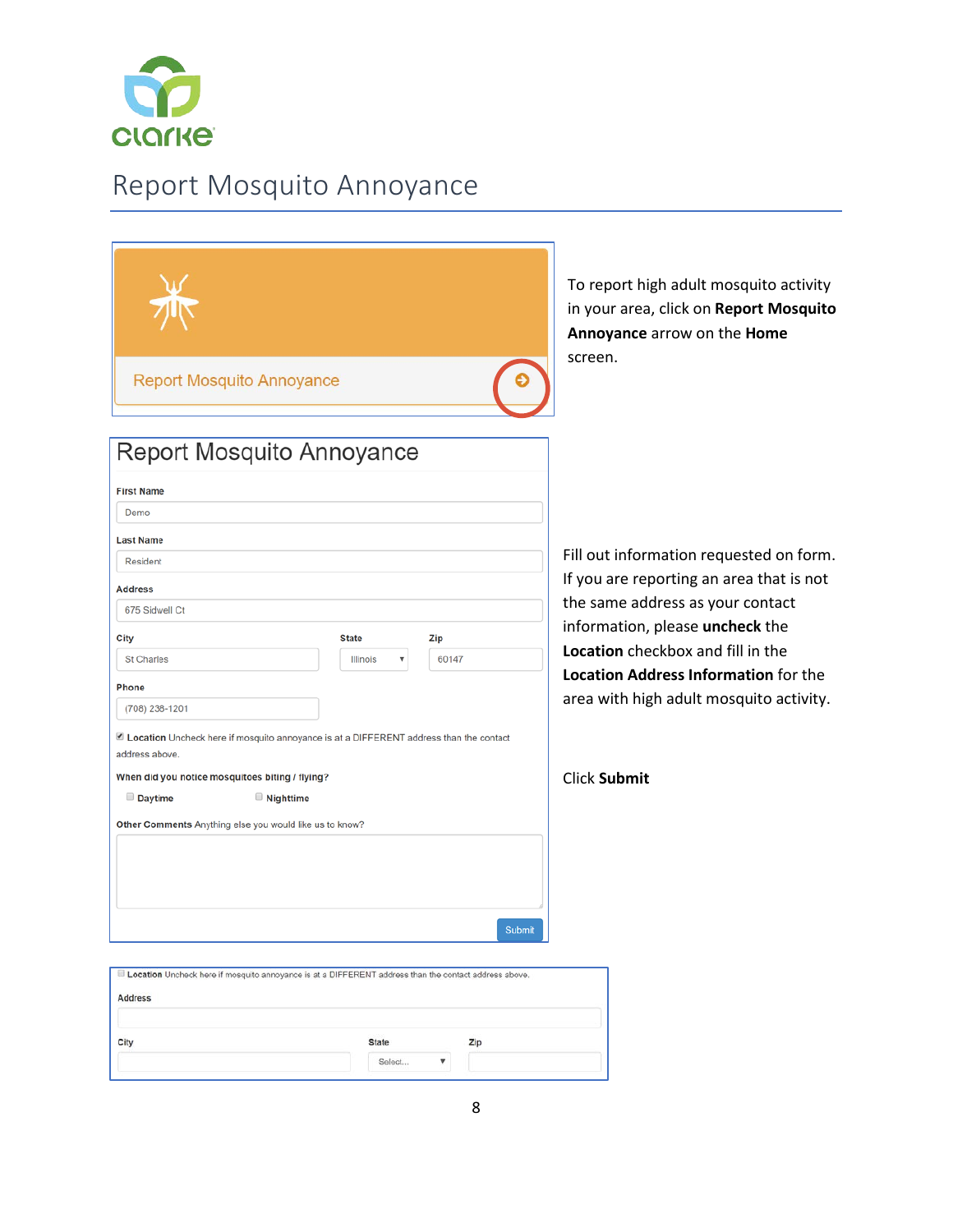

### Report Mosquito Annoyance

| <b>Report Mosquito Annoyance</b>                                                                      |              |                           |        | To report high adult mosquito activity<br>in your area, click on Report Mosquito<br>Annoyance arrow on the Home<br>screen. |  |
|-------------------------------------------------------------------------------------------------------|--------------|---------------------------|--------|----------------------------------------------------------------------------------------------------------------------------|--|
| Report Mosquito Annoyance                                                                             |              |                           |        |                                                                                                                            |  |
| <b>First Name</b>                                                                                     |              |                           |        |                                                                                                                            |  |
| Demo                                                                                                  |              |                           |        |                                                                                                                            |  |
| <b>Last Name</b>                                                                                      |              |                           |        |                                                                                                                            |  |
| Resident                                                                                              |              |                           |        | Fill out information requested on form.                                                                                    |  |
| <b>Address</b>                                                                                        |              |                           |        | If you are reporting an area that is not                                                                                   |  |
| 675 Sidwell Ct                                                                                        |              |                           |        | the same address as your contact                                                                                           |  |
| City                                                                                                  | <b>State</b> | Zip                       |        | information, please uncheck the                                                                                            |  |
| <b>St Charles</b>                                                                                     | Illinois     | 60147                     |        | Location checkbox and fill in the                                                                                          |  |
| <b>Phone</b>                                                                                          |              |                           |        | <b>Location Address Information for the</b>                                                                                |  |
| (708) 238-1201                                                                                        |              |                           |        | area with high adult mosquito activity.                                                                                    |  |
| Location Uncheck here if mosquito annoyance is at a DIFFERENT address than the contact                |              |                           |        |                                                                                                                            |  |
| address above.                                                                                        |              |                           |        |                                                                                                                            |  |
| When did you notice mosquitoes biting / flying?<br>Daytime<br><b>Nighttime</b>                        |              |                           |        | <b>Click Submit</b>                                                                                                        |  |
| Other Comments Anything else you would like us to know?                                               |              |                           |        |                                                                                                                            |  |
|                                                                                                       |              |                           |        |                                                                                                                            |  |
|                                                                                                       |              |                           |        |                                                                                                                            |  |
|                                                                                                       |              |                           |        |                                                                                                                            |  |
|                                                                                                       |              |                           |        |                                                                                                                            |  |
|                                                                                                       |              |                           | Submit |                                                                                                                            |  |
| Location Uncheck here if mosquito annoyance is at a DIFFERENT address than the contact address above. |              |                           |        |                                                                                                                            |  |
| <b>Address</b>                                                                                        |              |                           |        |                                                                                                                            |  |
|                                                                                                       |              |                           |        |                                                                                                                            |  |
| City                                                                                                  | <b>State</b> |                           | Zip    |                                                                                                                            |  |
|                                                                                                       | Select       | $\boldsymbol{\mathrm{v}}$ |        |                                                                                                                            |  |